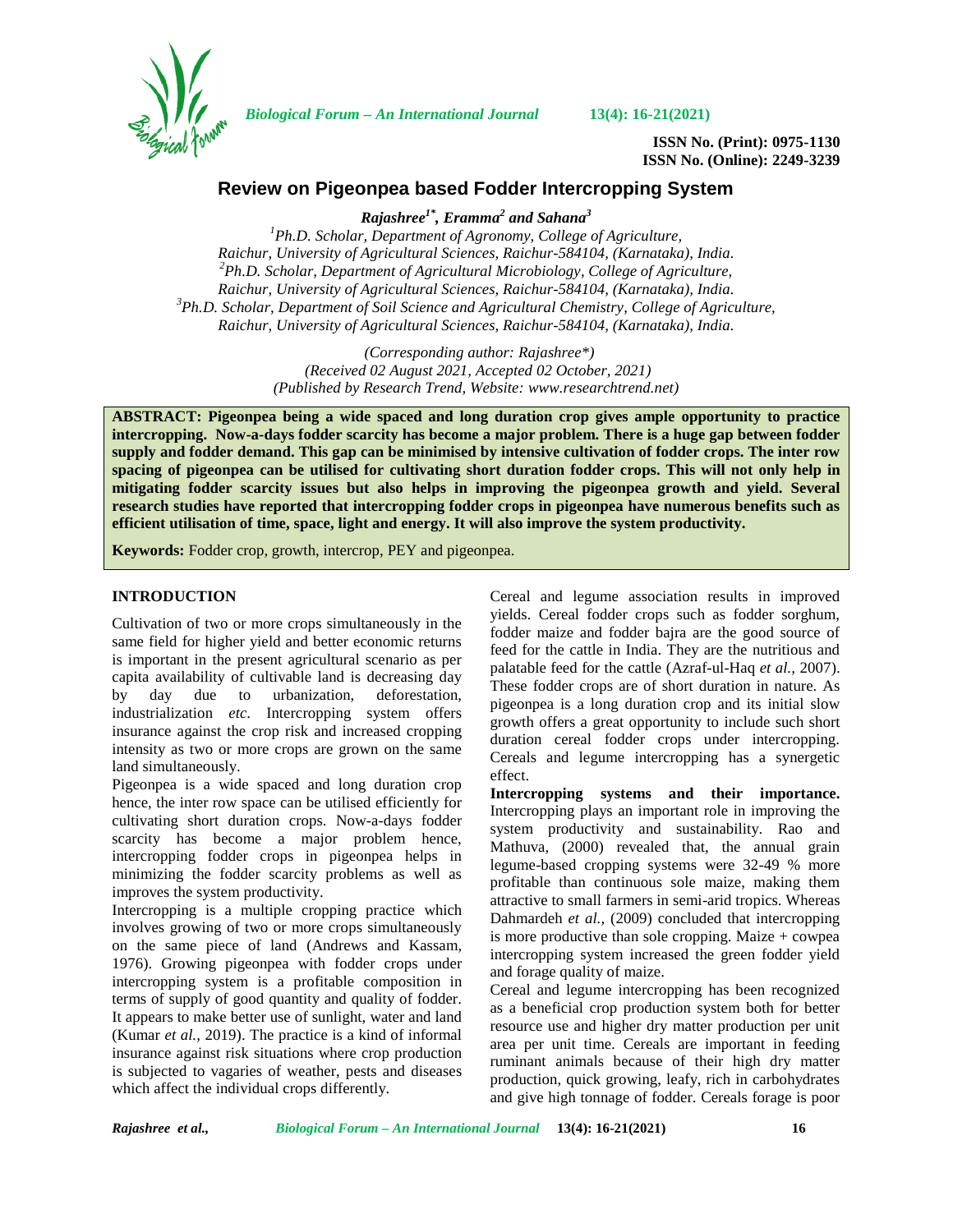

*Biological Forum – An International Journal* **13(4): 16-21(2021)**

**ISSN No. (Print): 0975-1130 ISSN No. (Online): 2249-3239**

# **Review on Pigeonpea based Fodder Intercropping System**

*Rajashree1\*, Eramma<sup>2</sup> and Sahana<sup>3</sup>*

*<sup>1</sup>Ph.D. Scholar, Department of Agronomy, College of Agriculture, Raichur, University of Agricultural Sciences, Raichur-584104, (Karnataka), India. <sup>2</sup>Ph.D. Scholar, Department of Agricultural Microbiology, College of Agriculture,* Raichur, University of Agricultural Sciences, Raichur-584104, (Karnataka), India.<br><sup>3</sup>Ph.D. Scholar, Department of Soil Science and Agricultural Chemistry, College of Agriculture, *Raichur, University of Agricultural Sciences, Raichur-584104, (Karnataka), India.*

> *(Corresponding author: Rajashree\*) (Received 02 August 2021, Accepted 02 October, 2021) (Published by Research Trend, Website: [www.researchtrend.net\)](www.researchtrend.net)*

**ABSTRACT: Pigeonpea being a wide spaced and long duration crop gives ample opportunity to practice intercropping. Now-a-days fodder scarcity has become a major problem. There is a huge gap between fodder supply and fodder demand. This gap can be minimised by intensive cultivation of fodder crops. The inter row spacing of pigeonpea can be utilised for cultivating short duration fodder crops. This will not only help in mitigating fodder scarcity issues but also helps in improving the pigeonpea growth and yield. Several research studies have reported that intercropping fodder crops in pigeonpea have numerous benefits such as efficient utilisation of time, space, light and energy. It will also improve the system productivity.**

**Keywords:** Fodder crop, growth, intercrop, PEY and pigeonpea.

## **INTRODUCTION**

Cultivation of two or more crops simultaneously in the same field for higher yield and better economic returns is important in the present agricultural scenario as per capita availability of cultivable land is decreasing day by day due to urbanization, deforestation, industrialization *etc*. Intercropping system offers insurance against the crop risk and increased cropping intensity as two or more crops are grown on the same land simultaneously.

Pigeonpea is a wide spaced and long duration crop hence, the inter row space can be utilised efficiently for cultivating short duration crops. Now-a-days fodder scarcity has become a major problem hence, intercropping fodder crops in pigeonpea helps in minimizing the fodder scarcity problems as well as improves the system productivity.

Intercropping is a multiple cropping practice which involves growing of two or more crops simultaneously on the same piece of land (Andrews and Kassam, 1976). Growing pigeonpea with fodder crops under intercropping system is a profitable composition in terms of supply of good quantity and quality of fodder. It appears to make better use of sunlight, water and land (Kumar *et al.,* 2019). The practice is a kind of informal insurance against risk situations where crop production is subjected to vagaries of weather, pests and diseases which affect the individual crops differently.

Cereal and legume association results in improved yields. Cereal fodder crops such as fodder sorghum, fodder maize and fodder bajra are the good source of feed for the cattle in India. They are the nutritious and palatable feed for the cattle (Azraf-ul-Haq *et al.,* 2007). These fodder crops are of short duration in nature. As pigeonpea is a long duration crop and its initial slow growth offers a great opportunity to include such short duration cereal fodder crops under intercropping. Cereals and legume intercropping has a synergetic effect.

**Intercropping systems and their importance.** Intercropping plays an important role in improving the system productivity and sustainability. Rao and Mathuva, (2000) revealed that, the annual grain legume-based cropping systems were 32-49 % more profitable than continuous sole maize, making them attractive to small farmers in semi-arid tropics. Whereas Dahmardeh *et al.,* (2009) concluded that intercropping is more productive than sole cropping. Maize  $+$  cowpea intercropping system increased the green fodder yield and forage quality of maize.

Cereal and legume intercropping has been recognized as a beneficial crop production system both for better resource use and higher dry matter production per unit area per unit time. Cereals are important in feeding ruminant animals because of their high dry matter production, quick growing, leafy, rich in carbohydrates and give high tonnage of fodder. Cereals forage is poor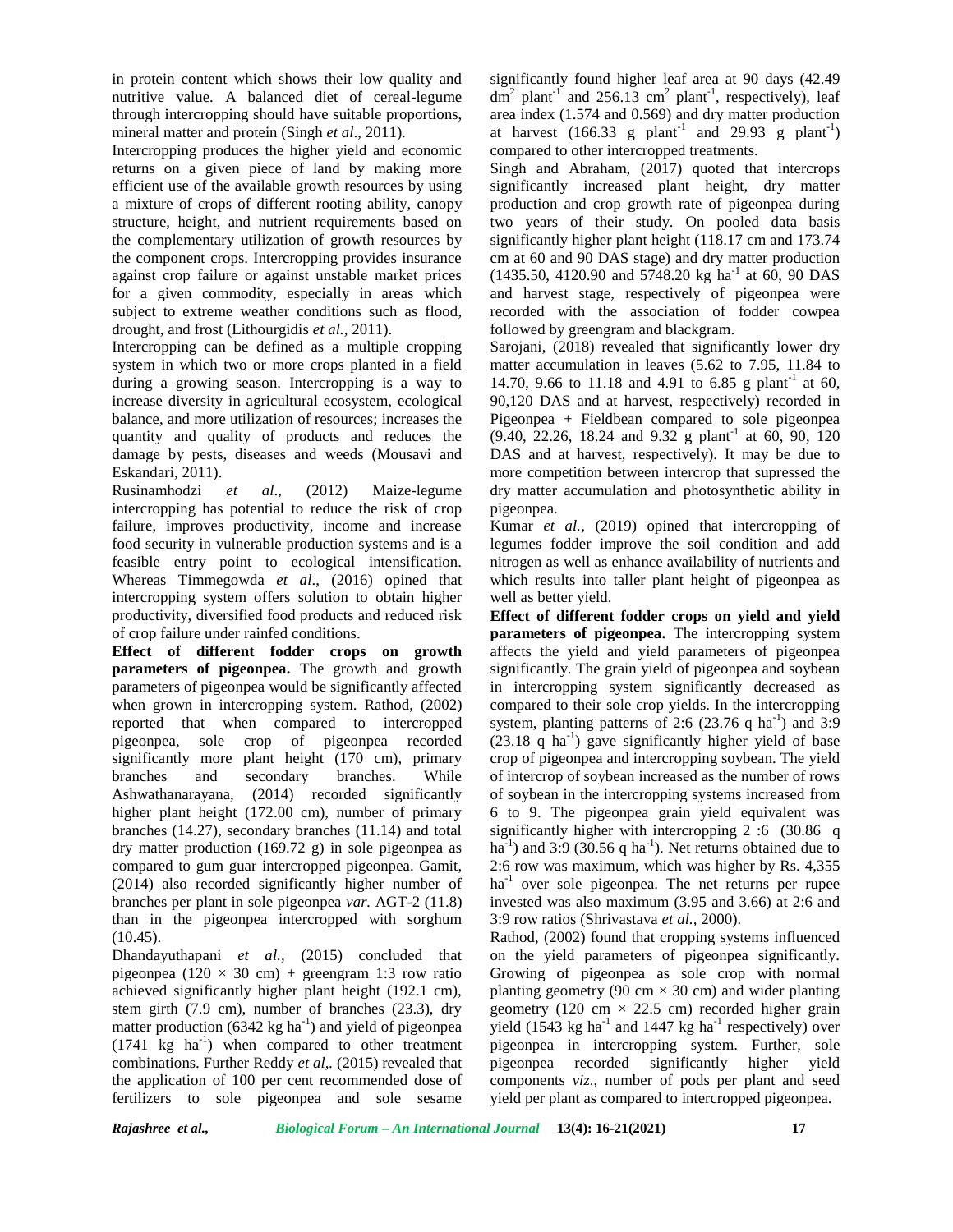in protein content which shows their low quality and nutritive value. A balanced diet of cereal-legume through intercropping should have suitable proportions, mineral matter and protein (Singh *et al*., 2011).

Intercropping produces the higher yield and economic returns on a given piece of land by making more efficient use of the available growth resources by using a mixture of crops of different rooting ability, canopy structure, height, and nutrient requirements based on the complementary utilization of growth resources by the component crops. Intercropping provides insurance against crop failure or against unstable market prices for a given commodity, especially in areas which subject to extreme weather conditions such as flood, drought, and frost (Lithourgidis *et al.,* 2011).

Intercropping can be defined as a multiple cropping system in which two or more crops planted in a field during a growing season. Intercropping is a way to increase diversity in agricultural ecosystem, ecological balance, and more utilization of resources; increases the quantity and quality of products and reduces the damage by pests, diseases and weeds (Mousavi and Eskandari, 2011).

Rusinamhodzi *et al*., (2012) Maize-legume intercropping has potential to reduce the risk of crop failure, improves productivity, income and increase food security in vulnerable production systems and is a feasible entry point to ecological intensification. Whereas Timmegowda *et al*., (2016) opined that intercropping system offers solution to obtain higher productivity, diversified food products and reduced risk of crop failure under rainfed conditions.

**Effect of different fodder crops on growth parameters of pigeonpea.** The growth and growth parameters of pigeonpea would be significantly affected when grown in intercropping system. Rathod, (2002) reported that when compared to intercropped pigeonpea, sole crop of pigeonpea recorded significantly more plant height (170 cm), primary branches and secondary branches. While Ashwathanarayana, (2014) recorded significantly higher plant height (172.00 cm), number of primary branches (14.27), secondary branches (11.14) and total dry matter production (169.72 g) in sole pigeonpea as compared to gum guar intercropped pigeonpea. Gamit, (2014) also recorded significantly higher number of branches per plant in sole pigeonpea *var.* AGT-2 (11.8) than in the pigeonpea intercropped with sorghum (10.45).

Dhandayuthapani *et al.,* (2015) concluded that pigeonpea (120  $\times$  30 cm) + greengram 1:3 row ratio achieved significantly higher plant height (192.1 cm), stem girth (7.9 cm), number of branches (23.3), dry matter production  $(6342 \text{ kg ha}^{-1})$  and yield of pigeonpea  $(1741 \text{ kg } ha^{-1})$  when compared to other treatment combinations. Further Reddy *et al,.* (2015) revealed that the application of 100 per cent recommended dose of fertilizers to sole pigeonpea and sole sesame

significantly found higher leaf area at 90 days (42.49  $dm<sup>2</sup>$  plant<sup>-1</sup> and 256.13 cm<sup>2</sup> plant<sup>-1</sup>, respectively), leaf area index (1.574 and 0.569) and dry matter production at harvest  $(166.33 \text{ g plant}^{-1} \text{ and } 29.93 \text{ g plant}^{-1})$ compared to other intercropped treatments.

Singh and Abraham, (2017) quoted that intercrops significantly increased plant height, dry matter production and crop growth rate of pigeonpea during two years of their study. On pooled data basis significantly higher plant height (118.17 cm and 173.74 cm at 60 and 90 DAS stage) and dry matter production  $(1435.50, 4120.90$  and  $5748.20$  kg ha<sup>-1</sup> at 60, 90 DAS and harvest stage, respectively of pigeonpea were recorded with the association of fodder cowpea followed by greengram and blackgram.

Sarojani, (2018) revealed that significantly lower dry matter accumulation in leaves (5.62 to 7.95, 11.84 to 14.70, 9.66 to 11.18 and 4.91 to 6.85 g plant<sup>-1</sup> at 60, 90,120 DAS and at harvest, respectively) recorded in Pigeonpea + Fieldbean compared to sole pigeonpea  $(9.40, 22.26, 18.24 \text{ and } 9.32 \text{ g plant}^{-1} \text{ at } 60, 90, 120$ DAS and at harvest, respectively). It may be due to more competition between intercrop that supressed the dry matter accumulation and photosynthetic ability in pigeonpea.

Kumar *et al.,* (2019) opined that intercropping of legumes fodder improve the soil condition and add nitrogen as well as enhance availability of nutrients and which results into taller plant height of pigeonpea as well as better yield.

**Effect of different fodder crops on yield and yield parameters of pigeonpea.** The intercropping system affects the yield and yield parameters of pigeonpea significantly. The grain yield of pigeonpea and soybean in intercropping system significantly decreased as compared to their sole crop yields. In the intercropping system, planting patterns of 2:6 (23.76 q ha<sup>-1</sup>) and 3:9  $(23.18 \text{ q} \text{ ha}^{-1})$  gave significantly higher yield of base crop of pigeonpea and intercropping soybean. The yield of intercrop of soybean increased as the number of rows of soybean in the intercropping systems increased from 6 to 9. The pigeonpea grain yield equivalent was significantly higher with intercropping 2 :6 (30.86 q ha<sup>-1</sup>) and 3:9 (30.56 q ha<sup>-1</sup>). Net returns obtained due to 2:6 row was maximum, which was higher by Rs. 4,355  $ha<sup>-1</sup>$  over sole pigeonpea. The net returns per rupee invested was also maximum (3.95 and 3.66) at 2:6 and 3:9 row ratios (Shrivastava *et al.,* 2000).

Rathod, (2002) found that cropping systems influenced on the yield parameters of pigeonpea significantly. Growing of pigeonpea as sole crop with normal planting geometry (90 cm  $\times$  30 cm) and wider planting geometry (120 cm  $\times$  22.5 cm) recorded higher grain yield (1543 kg ha<sup>-1</sup> and 1447 kg ha<sup>-1</sup> respectively) over pigeonpea in intercropping system. Further, sole pigeonpea recorded significantly higher yield components *viz*., number of pods per plant and seed yield per plant as compared to intercropped pigeonpea.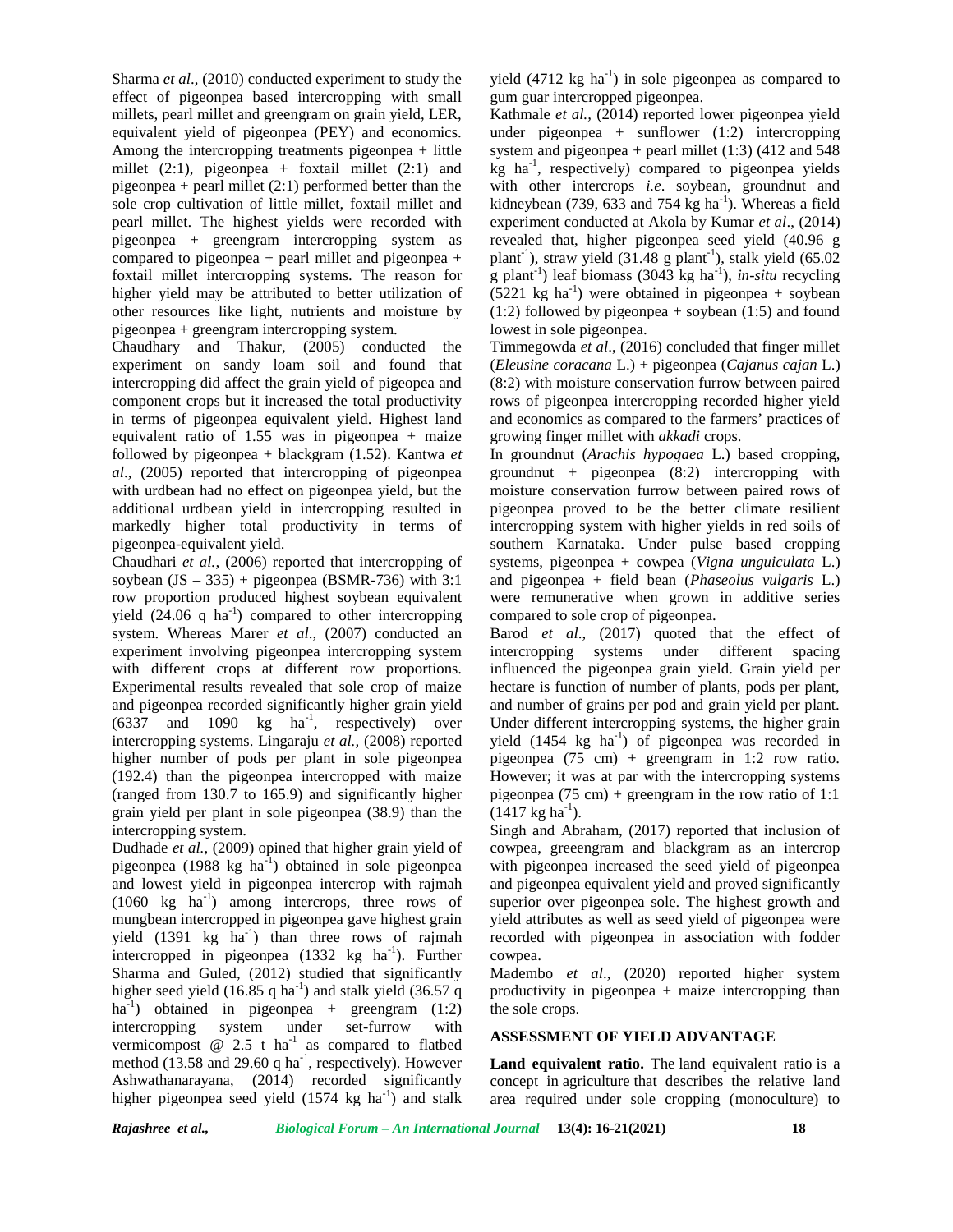Sharma *et al*., (2010) conducted experiment to study the effect of pigeonpea based intercropping with small millets, pearl millet and greengram on grain yield, LER, equivalent yield of pigeonpea (PEY) and economics. Among the intercropping treatments pigeonpea + little millet  $(2:1)$ , pigeonpea + foxtail millet  $(2:1)$  and pigeonpea + pearl millet  $(2:1)$  performed better than the sole crop cultivation of little millet, foxtail millet and pearl millet. The highest yields were recorded with pigeonpea + greengram intercropping system as compared to pigeonpea + pearl millet and pigeonpea + foxtail millet intercropping systems. The reason for higher yield may be attributed to better utilization of other resources like light, nutrients and moisture by pigeonpea + greengram intercropping system.

Chaudhary and Thakur, (2005) conducted the experiment on sandy loam soil and found that intercropping did affect the grain yield of pigeopea and component crops but it increased the total productivity in terms of pigeonpea equivalent yield. Highest land equivalent ratio of 1.55 was in pigeonpea + maize followed by pigeonpea + blackgram (1.52). Kantwa *et al*., (2005) reported that intercropping of pigeonpea with urdbean had no effect on pigeonpea yield, but the additional urdbean yield in intercropping resulted in markedly higher total productivity in terms of pigeonpea-equivalent yield.

Chaudhari *et al.,* (2006) reported that intercropping of soybean  $(JS - 335)$  + pigeonpea (BSMR-736) with 3:1 row proportion produced highest soybean equivalent yield  $(24.06 \text{ q ha}^{-1})$  compared to other intercropping system. Whereas Marer *et al*., (2007) conducted an experiment involving pigeonpea intercropping system with different crops at different row proportions. Experimental results revealed that sole crop of maize and pigeonpea recorded significantly higher grain yield  $(6337 \text{ and } 1090 \text{ kg} \text{ ha}^{-1}$ , respectively) over U intercropping systems. Lingaraju *et al.,* (2008) reported higher number of pods per plant in sole pigeonpea (192.4) than the pigeonpea intercropped with maize (ranged from 130.7 to 165.9) and significantly higher grain yield per plant in sole pigeonpea (38.9) than the intercropping system.

Dudhade *et al.,* (2009) opined that higher grain yield of pigeonpea  $(1988 \text{ kg} \text{ ha}^{-1})$  obtained in sole pigeonpea and lowest yield in pigeonpea intercrop with rajmah  $(1060 \text{ kg } \text{ha}^{-1})$  among intercrops, three rows of mungbean intercropped in pigeonpea gave highest grain yield  $(1391 \text{ kg} \text{ha}^{-1})$  than three rows of rajmah intercropped in pigeonpea  $(1332 \text{ kg} \text{ ha}^{-1})$ . Further Sharma and Guled, (2012) studied that significantly higher seed yield (16.85 q ha<sup>-1</sup>) and stalk yield (36.57 q ha<sup>-1</sup>) obtained in pigeonpea + greengram  $(1:2)$ intercropping system under set-furrow with vermicompost  $@$  2.5 t ha<sup>-1</sup> as compared to flatbed method (13.58 and 29.60 q ha<sup>-1</sup>, respectively). However  $\blacksquare$ Ashwathanarayana, (2014) recorded significantly higher pigeonpea seed yield  $(1574 \text{ kg} \text{ ha}^{-1})$  and stalk

yield  $(4712 \text{ kg } \text{ha}^{-1})$  in sole pigeonpea as compared to gum guar intercropped pigeonpea.

Kathmale *et al.,* (2014) reported lower pigeonpea yield under pigeonpea + sunflower (1:2) intercropping system and pigeonpea + pearl millet  $(1:3)$   $(412$  and 548 kg ha-1 , respectively) compared to pigeonpea yields with other intercrops *i.e*. soybean, groundnut and kidneybean (739, 633 and 754 kg ha<sup>-1</sup>). Whereas a field experiment conducted at Akola by Kumar *et al*., (2014) revealed that, higher pigeonpea seed yield (40.96 g plant<sup>-1</sup>), straw yield  $(31.48 \text{ g plant}^{-1})$ , stalk yield  $(65.02$ g plant<sup>-1</sup>) leaf biomass (3043 kg ha<sup>-1</sup>), *in-situ* recycling  $(5221 \text{ kg ha}^{-1})$  were obtained in pigeonpea + soybean  $(1:2)$  followed by pigeonpea + soybean  $(1:5)$  and found lowest in sole pigeonpea.

Timmegowda *et al*., (2016) concluded that finger millet (*Eleusine coracana* L.) + pigeonpea (*Cajanus cajan* L.) (8:2) with moisture conservation furrow between paired rows of pigeonpea intercropping recorded higher yield and economics as compared to the farmers' practices of growing finger millet with *akkadi* crops.

In groundnut (*Arachis hypogaea* L.) based cropping, groundnut + pigeonpea  $(8:2)$  intercropping with moisture conservation furrow between paired rows of pigeonpea proved to be the better climate resilient intercropping system with higher yields in red soils of southern Karnataka. Under pulse based cropping systems, pigeonpea + cowpea (*Vigna unguiculata* L.) and pigeonpea + field bean (*Phaseolus vulgaris* L.) were remunerative when grown in additive series compared to sole crop of pigeonpea.

Barod *et al*., (2017) quoted that the effect of intercropping systems under different spacing influenced the pigeonpea grain yield. Grain yield per hectare is function of number of plants, pods per plant, and number of grains per pod and grain yield per plant. Under different intercropping systems, the higher grain yield  $(1454 \text{ kg} \text{ ha}^{-1})$  of pigeonpea was recorded in pigeonpea (75 cm) + greengram in 1:2 row ratio. However; it was at par with the intercropping systems pigeonpea (75 cm) + greengram in the row ratio of 1:1  $(1417 \text{ kg ha}^{-1}).$ 

Singh and Abraham, (2017) reported that inclusion of cowpea, greeengram and blackgram as an intercrop with pigeonpea increased the seed yield of pigeonpea and pigeonpea equivalent yield and proved significantly superior over pigeonpea sole. The highest growth and yield attributes as well as seed yield of pigeonpea were recorded with pigeonpea in association with fodder cowpea.

Madembo *et al*., (2020) reported higher system productivity in pigeonpea + maize intercropping than the sole crops.

## **ASSESSMENT OF YIELD ADVANTAGE**

Land equivalent ratio. The land equivalent ratio is a concept in agriculture that describes the relative land area required under sole cropping (monoculture) to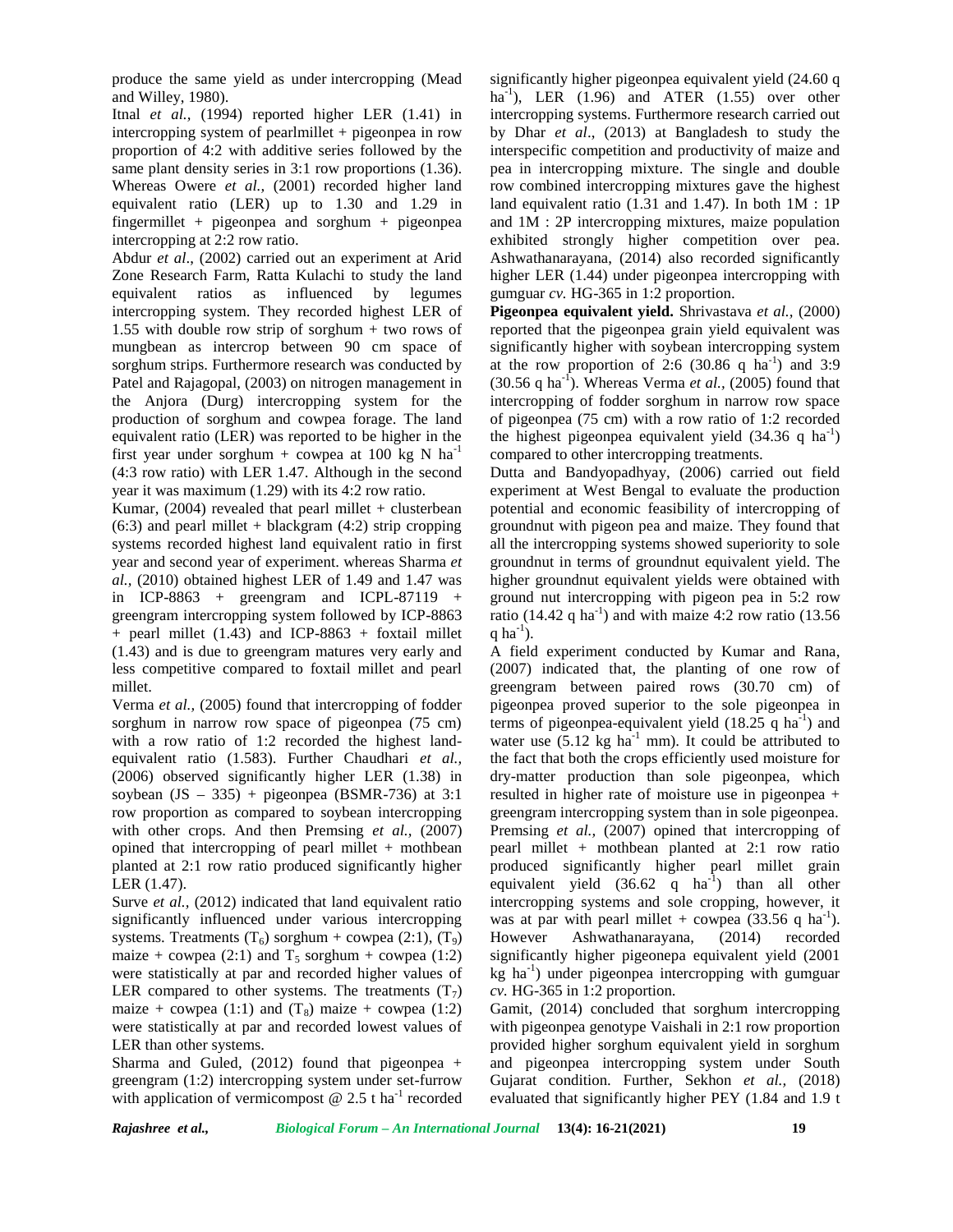produce the same yield as under intercropping (Mead and Willey, 1980).

Itnal *et al.,* (1994) reported higher LER (1.41) in intercropping system of pearlmillet + pigeonpea in row proportion of 4:2 with additive series followed by the same plant density series in 3:1 row proportions  $(1.36)$ . Whereas Owere *et al.,* (2001) recorded higher land equivalent ratio (LER) up to 1.30 and 1.29 in fingermillet + pigeonpea and sorghum + pigeonpea intercropping at 2:2 row ratio.

Abdur *et al*., (2002) carried out an experiment at Arid Zone Research Farm, Ratta Kulachi to study the land equivalent ratios as influenced by legumes intercropping system. They recorded highest LER of 1.55 with double row strip of sorghum + two rows of mungbean as intercrop between 90 cm space of sorghum strips. Furthermore research was conducted by Patel and Rajagopal, (2003) on nitrogen management in the Anjora (Durg) intercropping system for the production of sorghum and cowpea forage. The land equivalent ratio (LER) was reported to be higher in the first year under sorghum + cowpea at 100 kg N ha<sup>-1</sup> (4:3 row ratio) with LER 1.47. Although in the second year it was maximum (1.29) with its 4:2 row ratio.

Kumar,  $(2004)$  revealed that pearl millet + clusterbean  $(6:3)$  and pearl millet + blackgram  $(4:2)$  strip cropping systems recorded highest land equivalent ratio in first year and second year of experiment. whereas Sharma *et al.,* (2010) obtained highest LER of 1.49 and 1.47 was in ICP-8863 + greengram and ICPL-87119 + greengram intercropping system followed by ICP-8863  $+$  pearl millet (1.43) and ICP-8863  $+$  foxtail millet (1.43) and is due to greengram matures very early and less competitive compared to foxtail millet and pearl millet.

Verma *et al.,* (2005) found that intercropping of fodder sorghum in narrow row space of pigeonpea (75 cm) with a row ratio of 1:2 recorded the highest land equivalent ratio (1.583). Further Chaudhari *et al.,* (2006) observed significantly higher LER (1.38) in soybean  $(JS - 335)$  + pigeonpea (BSMR-736) at 3:1 row proportion as compared to soybean intercropping with other crops. And then Premsing *et al.*, (2007) opined that intercropping of pearl millet + mothbean planted at 2:1 row ratio produced significantly higher LER (1.47).

Surve *et al.*, (2012) indicated that land equivalent ratio significantly influenced under various intercropping systems. Treatments  $(T_6)$  sorghum + cowpea (2:1),  $(T_9)$  However maize + cowpea (2:1) and  $T_5$  sorghum + cowpea (1:2) were statistically at par and recorded higher values of LER compared to other systems. The treatments  $(T_7)$ maize + cowpea (1:1) and  $(T_8)$  maize + cowpea (1:2) were statistically at par and recorded lowest values of LER than other systems.

Sharma and Guled,  $(2012)$  found that pigeonpea + greengram (1:2) intercropping system under set-furrow with application of vermicompost  $\omega$  2.5 t ha<sup>-1</sup> recorded significantly higher pigeonpea equivalent yield (24.60 q ha<sup>-1</sup>), LER  $(1.96)$  and ATER  $(1.55)$  over other intercropping systems. Furthermore research carried out by Dhar *et al*., (2013) at Bangladesh to study the interspecific competition and productivity of maize and pea in intercropping mixture. The single and double row combined intercropping mixtures gave the highest land equivalent ratio (1.31 and 1.47). In both 1M : 1P and 1M : 2P intercropping mixtures, maize population exhibited strongly higher competition over pea. Ashwathanarayana, (2014) also recorded significantly higher LER (1.44) under pigeonpea intercropping with gumguar *cv.* HG-365 in 1:2 proportion.

**Pigeonpea equivalent yield.** Shrivastava *et al.,* (2000) reported that the pigeonpea grain yield equivalent was significantly higher with soybean intercropping system at the row proportion of 2:6  $(30.86 \text{ q} \text{ ha}^{-1})$  and 3:9  $(30.56 \text{ q ha}^{-1})$ . Whereas Verma *et al.*,  $(2005)$  found that intercropping of fodder sorghum in narrow row space of pigeonpea (75 cm) with a row ratio of 1:2 recorded the highest pigeonpea equivalent yield  $(34.36 \text{ q} \text{ ha}^{-1})$ compared to other intercropping treatments.

Dutta and Bandyopadhyay, (2006) carried out field experiment at West Bengal to evaluate the production potential and economic feasibility of intercropping of groundnut with pigeon pea and maize. They found that all the intercropping systems showed superiority to sole groundnut in terms of groundnut equivalent yield. The higher groundnut equivalent yields were obtained with ground nut intercropping with pigeon pea in 5:2 row ratio (14.42 q ha<sup>-1</sup>) and with maize 4:2 row ratio (13.56) q ha $^{-1}$ ).

A field experiment conducted by Kumar and Rana, (2007) indicated that, the planting of one row of greengram between paired rows (30.70 cm) of pigeonpea proved superior to the sole pigeonpea in terms of pigeonpea-equivalent yield  $(18.25 \text{ q ha}^{-1})$  and water use  $(5.12 \text{ kg ha}^{-1} \text{ mm})$ . It could be attributed to the fact that both the crops efficiently used moisture for dry-matter production than sole pigeonpea, which resulted in higher rate of moisture use in pigeonpea + greengram intercropping system than in sole pigeonpea. Premsing *et al.*, (2007) opined that intercropping of pearl millet + mothbean planted at 2:1 row ratio produced significantly higher pearl millet grain equivalent yield  $(36.62 \text{ q} \text{ ha}^{-1})$  than all other intercropping systems and sole cropping, however, it was at par with pearl millet + cowpea  $(33.56 \text{ q ha}^{-1})$ . Ashwathanarayana, (2014) recorded significantly higher pigeonepa equivalent yield (2001  $kg$  ha<sup>-1</sup>) under pigeonpea intercropping with gumguar *cv.* HG-365 in 1:2 proportion.

Gamit, (2014) concluded that sorghum intercropping with pigeonpea genotype Vaishali in 2:1 row proportion provided higher sorghum equivalent yield in sorghum and pigeonpea intercropping system under South Gujarat condition. Further, Sekhon *et al.,* (2018) evaluated that significantly higher PEY (1.84 and 1.9 t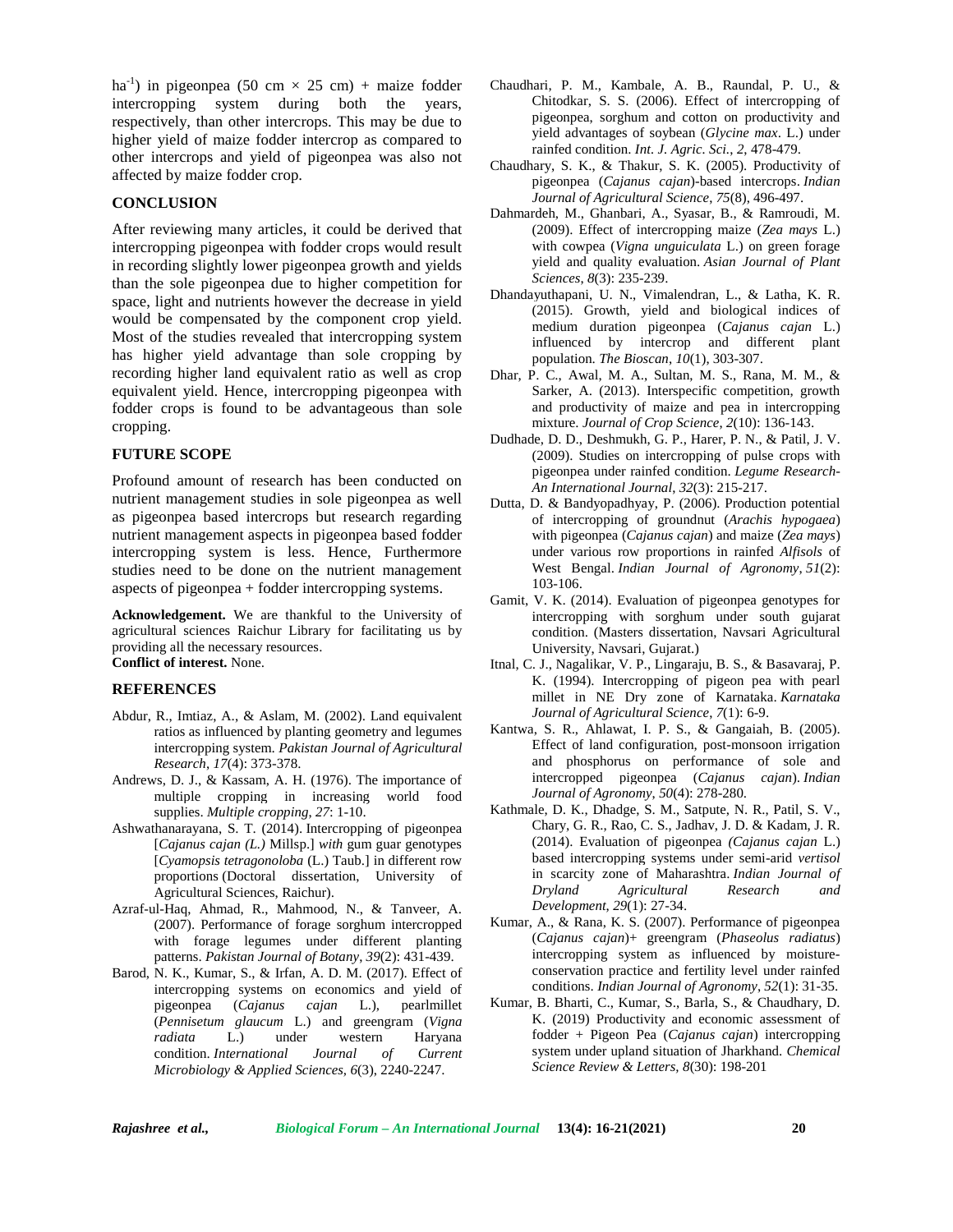ha<sup>-1</sup>) in pigeonpea (50 cm  $\times$  25 cm) + maize fodder intercropping system during both the years, respectively, than other intercrops. This may be due to higher yield of maize fodder intercrop as compared to other intercrops and yield of pigeonpea was also not affected by maize fodder crop.

### **CONCLUSION**

After reviewing many articles, it could be derived that intercropping pigeonpea with fodder crops would result in recording slightly lower pigeonpea growth and yields than the sole pigeonpea due to higher competition for space, light and nutrients however the decrease in yield would be compensated by the component crop yield. Most of the studies revealed that intercropping system has higher yield advantage than sole cropping by recording higher land equivalent ratio as well as crop equivalent yield. Hence, intercropping pigeonpea with fodder crops is found to be advantageous than sole cropping.

## **FUTURE SCOPE**

Profound amount of research has been conducted on nutrient management studies in sole pigeonpea as well as pigeonpea based intercrops but research regarding nutrient management aspects in pigeonpea based fodder intercropping system is less. Hence, Furthermore studies need to be done on the nutrient management aspects of pigeonpea + fodder intercropping systems.

**Acknowledgement.** We are thankful to the University of agricultural sciences Raichur Library for facilitating us by providing all the necessary resources. **Conflict of interest.** None.

#### **REFERENCES**

- Abdur, R., Imtiaz, A., & Aslam, M. (2002). Land equivalent ratios as influenced by planting geometry and legumes intercropping system. *Pakistan Journal of Agricultural Research*, *17*(4): 373-378.
- Andrews, D. J., & Kassam, A. H. (1976). The importance of multiple cropping in increasing world food supplies. *Multiple cropping*, *27*: 1-10.
- Ashwathanarayana, S. T. (2014). Intercropping of pigeonpea [*Cajanus cajan (L.)* Millsp.] *with* gum guar genotypes [*Cyamopsis tetragonoloba* (L.) Taub.] in different row proportions (Doctoral dissertation, University of Agricultural Sciences, Raichur).
- Azraf-ul-Haq, Ahmad, R., Mahmood, N., & Tanveer, A. (2007). Performance of forage sorghum intercropped with forage legumes under different planting patterns. *Pakistan Journal of Botany*, *39*(2): 431-439.
- Barod, N. K., Kumar, S., & Irfan, A. D. M. (2017). Effect of intercropping systems on economics and yield of pigeonpea (*Cajanus cajan* L.), pearlmillet (*Pennisetum glaucum* L.) and greengram (*Vigna radiata* L.) under western Haryana condition. *International Journal of Current Microbiology & Applied Sciences, 6*(3), 2240-2247.
- Chaudhari, P. M., Kambale, A. B., Raundal, P. U., & Chitodkar, S. S. (2006). Effect of intercropping of pigeonpea, sorghum and cotton on productivity and yield advantages of soybean (*Glycine max*. L.) under rainfed condition. *Int. J. Agric. Sci.*, *2*, 478-479.
- Chaudhary, S. K., & Thakur, S. K. (2005). Productivity of pigeonpea (*Cajanus cajan*)-based intercrops. *Indian Journal of Agricultural Science*, *75*(8), 496-497.
- Dahmardeh, M., Ghanbari, A., Syasar, B., & Ramroudi, M. (2009). Effect of intercropping maize (*Zea mays* L.) with cowpea (*Vigna unguiculata* L.) on green forage yield and quality evaluation. *Asian Journal of Plant Sciences*, *8*(3): 235-239.
- Dhandayuthapani, U. N., Vimalendran, L., & Latha, K. R. (2015). Growth, yield and biological indices of medium duration pigeonpea (*Cajanus cajan* L.) influenced by intercrop and different plant population. *The Bioscan*, *10*(1), 303-307.
- Dhar, P. C., Awal, M. A., Sultan, M. S., Rana, M. M., & Sarker, A. (2013). Interspecific competition, growth and productivity of maize and pea in intercropping mixture. *Journal of Crop Science*, *2*(10): 136-143.
- Dudhade, D. D., Deshmukh, G. P., Harer, P. N., & Patil, J. V. (2009). Studies on intercropping of pulse crops with pigeonpea under rainfed condition. *Legume Research- An International Journal*, *32*(3): 215-217.
- Dutta, D. & Bandyopadhyay, P. (2006). Production potential of intercropping of groundnut (*Arachis hypogaea*) with pigeonpea (*Cajanus cajan*) and maize (*Zea mays*) under various row proportions in rainfed *Alfisols* of West Bengal. *Indian Journal of Agronomy*, *51*(2): 103-106.
- Gamit, V. K. (2014). Evaluation of pigeonpea genotypes for intercropping with sorghum under south gujarat condition. (Masters dissertation, Navsari Agricultural University, Navsari, Gujarat.)
- Itnal, C. J., Nagalikar, V. P., Lingaraju, B. S., & Basavaraj, P. K. (1994). Intercropping of pigeon pea with pearl millet in NE Dry zone of Karnataka. *Karnataka Journal of Agricultural Science*, *7*(1): 6-9.
- Kantwa, S. R., Ahlawat, I. P. S., & Gangaiah, B. (2005). Effect of land configuration, post-monsoon irrigation and phosphorus on performance of sole and intercropped pigeonpea (*Cajanus cajan*). *Indian Journal of Agronomy*, *50*(4): 278-280.
- Kathmale, D. K., Dhadge, S. M., Satpute, N. R., Patil, S. V., Chary, G. R., Rao, C. S., Jadhav, J. D. & Kadam, J. R. (2014). Evaluation of pigeonpea *(Cajanus cajan* L.) based intercropping systems under semi-arid *vertisol* in scarcity zone of Maharashtra. *Indian Journal of Dryland Agricultural Research and Development*, *29*(1): 27-34.
- Kumar, A., & Rana, K. S. (2007). Performance of pigeonpea (*Cajanus cajan*)+ greengram (*Phaseolus radiatus*) intercropping system as influenced by moisture conservation practice and fertility level under rainfed conditions. *Indian Journal of Agronomy*, *52*(1): 31-35.
- Kumar, B. Bharti, C., Kumar, S., Barla, S., & Chaudhary, D. K. (2019) Productivity and economic assessment of fodder + Pigeon Pea (*Cajanus cajan*) intercropping system under upland situation of Jharkhand. *Chemical Science Review & Letters, 8*(30): 198-201

*Rajashree et al., Biological Forum – An International Journal* **13(4): 16-21(2021) 20**